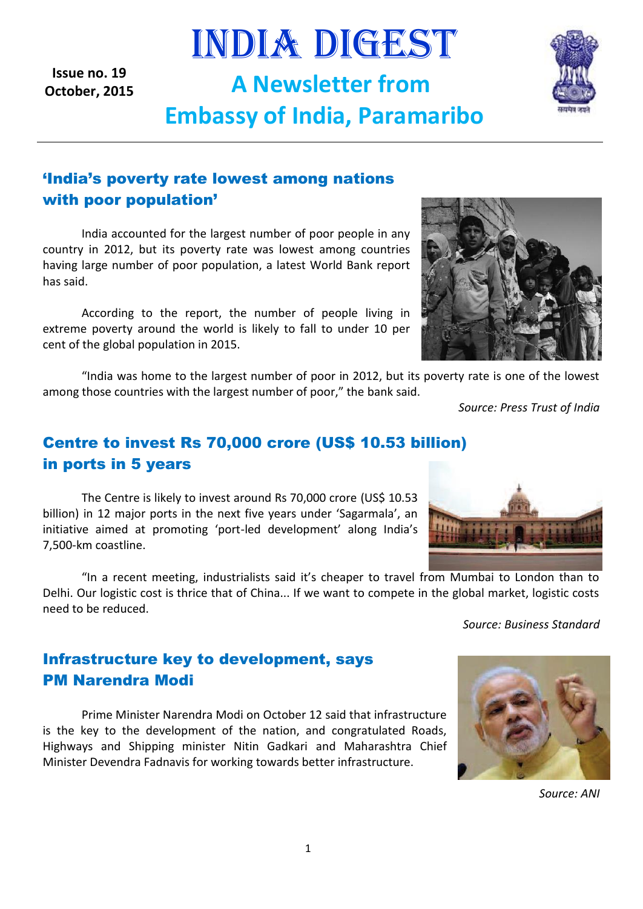**Issue no. 19 October, 2015**

# 'India's poverty rate lowest among nations with poor population'

India accounted for the largest number of poor people in any country in 2012, but its poverty rate was lowest among countries having large number of poor population, a latest World Bank report has said.

According to the report, the number of people living in extreme poverty around the world is likely to fall to under 10 per cent of the global population in 2015.

"India was home to the largest number of poor in 2012, but its poverty rate is one of the lowest among those countries with the largest number of poor," the bank said.

INDIA DIGEST

**A Newsletter from** 

**Embassy of India, Paramaribo**

*Source: Press Trust of India*

## Centre to invest Rs 70,000 crore (US\$ 10.53 billion) in ports in 5 years

The Centre is likely to invest around Rs 70,000 crore (US\$ 10.53 billion) in 12 major ports in the next five years under 'Sagarmala', an initiative aimed at promoting 'port-led development' along India's 7,500-km coastline.

"In a recent meeting, industrialists said it's cheaper to travel from Mumbai to London than to Delhi. Our logistic cost is thrice that of China... If we want to compete in the global market, logistic costs need to be reduced.

Infrastructure key to development, says PM Narendra Modi

Prime Minister Narendra Modi on October 12 said that infrastructure is the key to the development of the nation, and congratulated Roads, Highways and Shipping minister Nitin Gadkari and Maharashtra Chief Minister Devendra Fadnavis for working towards better infrastructure.

*Source: ANI*





*Source: Business Standard*



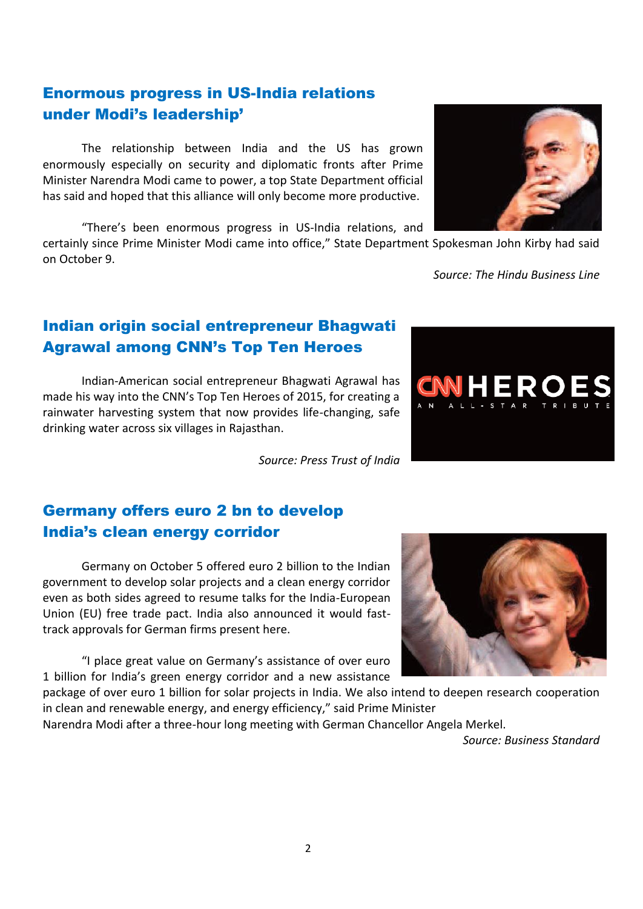## Enormous progress in US-India relations under Modi's leadership'

The relationship between India and the US has grown enormously especially on security and diplomatic fronts after Prime Minister Narendra Modi came to power, a top State Department official has said and hoped that this alliance will only become more productive.

"There's been enormous progress in US-India relations, and

certainly since Prime Minister Modi came into office," State Department Spokesman John Kirby had said on October 9.

*Source: The Hindu Business Line*

## Indian origin social entrepreneur Bhagwati Agrawal among CNN's Top Ten Heroes

Indian-American social entrepreneur Bhagwati Agrawal has made his way into the CNN's Top Ten Heroes of 2015, for creating a rainwater harvesting system that now provides life-changing, safe drinking water across six villages in Rajasthan.

*Source: Press Trust of India*

## Germany offers euro 2 bn to develop India's clean energy corridor

Germany on October 5 offered euro 2 billion to the Indian government to develop solar projects and a clean energy corridor even as both sides agreed to resume talks for the India-European Union (EU) free trade pact. India also announced it would fasttrack approvals for German firms present here.

"I place great value on Germany's assistance of over euro 1 billion for India's green energy corridor and a new assistance

package of over euro 1 billion for solar projects in India. We also intend to deepen research cooperation in clean and renewable energy, and energy efficiency," said Prime Minister

Narendra Modi after a three-hour long meeting with German Chancellor Angela Merkel.

*Source: Business Standard*





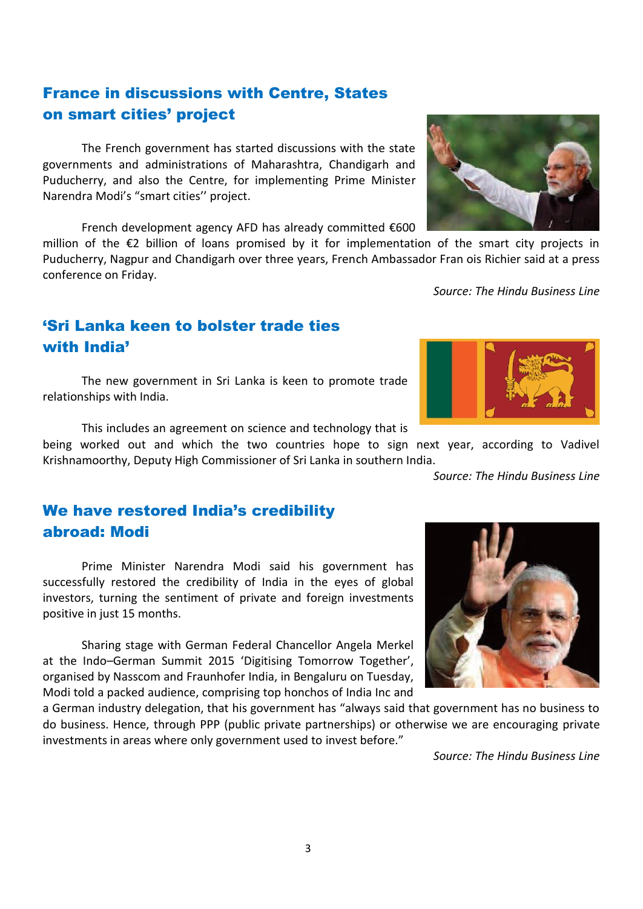## France in discussions with Centre, States on smart cities' project

The French government has started discussions with the state governments and administrations of Maharashtra, Chandigarh and Puducherry, and also the Centre, for implementing Prime Minister Narendra Modi's "smart cities'' project.

French development agency AFD has already committed €600

million of the €2 billion of loans promised by it for implementation of the smart city projects in Puducherry, Nagpur and Chandigarh over three years, French Ambassador Fran ois Richier said at a press conference on Friday.

*Source: The Hindu Business Line*

## 'Sri Lanka keen to bolster trade ties with India'

The new government in Sri Lanka is keen to promote trade relationships with India.

This includes an agreement on science and technology that is

being worked out and which the two countries hope to sign next year, according to Vadivel Krishnamoorthy, Deputy High Commissioner of Sri Lanka in southern India.

*Source: The Hindu Business Line*

## We have restored India's credibility abroad: Modi

Prime Minister Narendra Modi said his government has successfully restored the credibility of India in the eyes of global investors, turning the sentiment of private and foreign investments positive in just 15 months.

Sharing stage with German Federal Chancellor Angela Merkel at the Indo–German Summit 2015 'Digitising Tomorrow Together', organised by Nasscom and Fraunhofer India, in Bengaluru on Tuesday, Modi told a packed audience, comprising top honchos of India Inc and

a German industry delegation, that his government has "always said that government has no business to do business. Hence, through PPP (public private partnerships) or otherwise we are encouraging private investments in areas where only government used to invest before."

*Source: The Hindu Business Line*



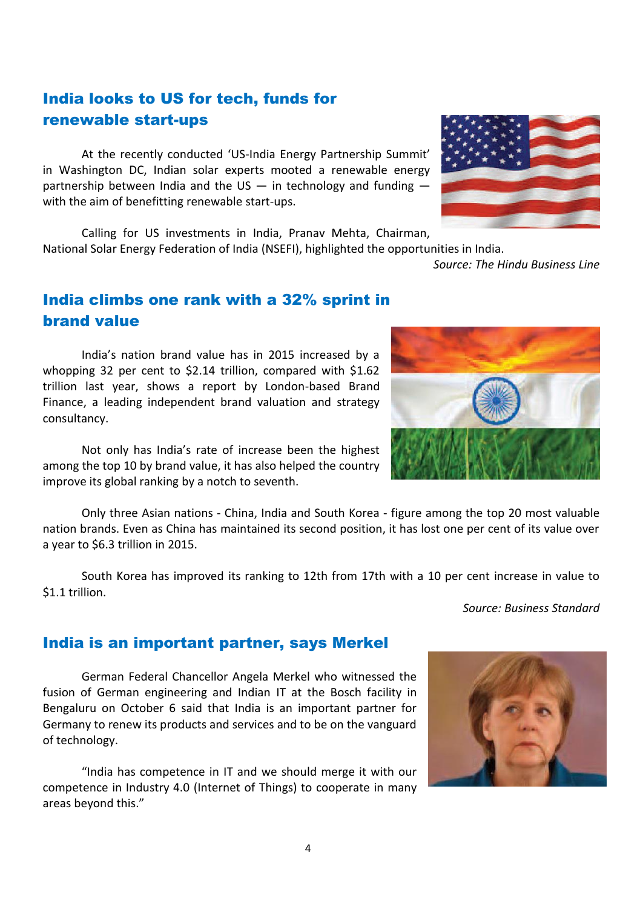# India looks to US for tech, funds for renewable start-ups

At the recently conducted 'US-India Energy Partnership Summit' in Washington DC, Indian solar experts mooted a renewable energy partnership between India and the US  $-$  in technology and funding  $$ with the aim of benefitting renewable start-ups.

Calling for US investments in India, Pranav Mehta, Chairman, National Solar Energy Federation of India (NSEFI), highlighted the opportunities in India.

*Source: The Hindu Business Line*

## India climbs one rank with a 32% sprint in brand value

India's nation brand value has in 2015 increased by a whopping 32 per cent to \$2.14 trillion, compared with \$1.62 trillion last year, shows a report by London-based Brand Finance, a leading independent brand valuation and strategy consultancy.

Not only has India's rate of increase been the highest among the top 10 by brand value, it has also helped the country improve its global ranking by a notch to seventh.

Only three Asian nations - China, India and South Korea - figure among the top 20 most valuable nation brands. Even as China has maintained its second position, it has lost one per cent of its value over a year to \$6.3 trillion in 2015.

South Korea has improved its ranking to 12th from 17th with a 10 per cent increase in value to \$1.1 trillion.

*Source: Business Standard*

## India is an important partner, says Merkel

German Federal Chancellor Angela Merkel who witnessed the fusion of German engineering and Indian IT at the Bosch facility in Bengaluru on October 6 said that India is an important partner for Germany to renew its products and services and to be on the vanguard of technology.

"India has competence in IT and we should merge it with our competence in Industry 4.0 (Internet of Things) to cooperate in many areas beyond this."







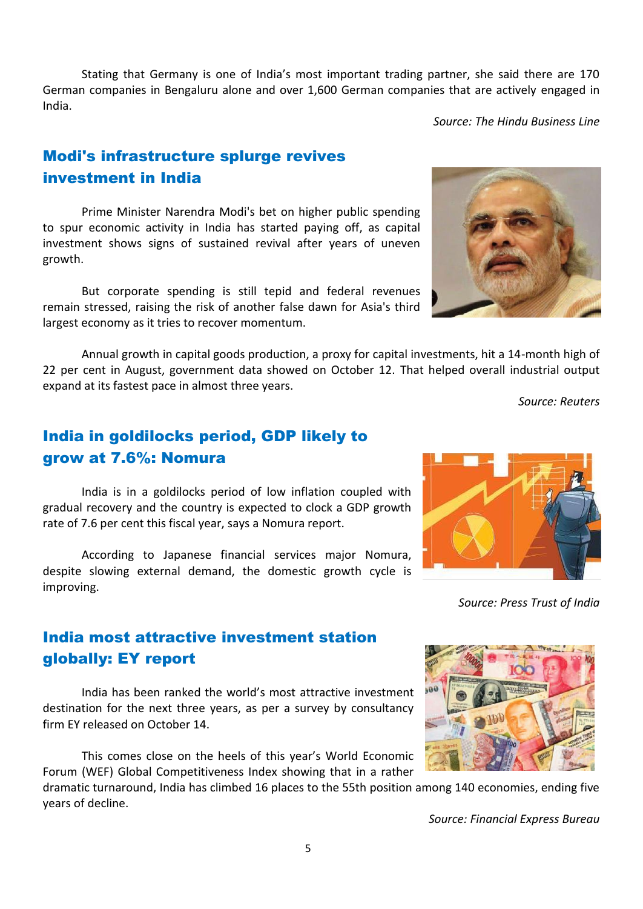despite slowing external demand, the domestic growth cycle is

India most attractive investment station globally: EY report

India has been ranked the world's most attractive investment destination for the next three years, as per a survey by consultancy firm EY released on October 14.

This comes close on the heels of this year's World Economic Forum (WEF) Global Competitiveness Index showing that in a rather

dramatic turnaround, India has climbed 16 places to the 55th position among 140 economies, ending five years of decline.

*Source: Financial Express Bureau*

# India in goldilocks period, GDP likely to grow at 7.6%: Nomura

India is in a goldilocks period of low inflation coupled with gradual recovery and the country is expected to clock a GDP growth rate of 7.6 per cent this fiscal year, says a Nomura report.

According to Japanese financial services major Nomura,

22 per cent in August, government data showed on October 12. That helped overall industrial output expand at its fastest pace in almost three years. *Source: Reuters*

Annual growth in capital goods production, a proxy for capital investments, hit a 14-month high of

Stating that Germany is one of India's most important trading partner, she said there are 170

German companies in Bengaluru alone and over 1,600 German companies that are actively engaged in

# Modi's infrastructure splurge revives investment in India

largest economy as it tries to recover momentum.

India.

improving.

Prime Minister Narendra Modi's bet on higher public spending to spur economic activity in India has started paying off, as capital investment shows signs of sustained revival after years of uneven

growth.

But corporate spending is still tepid and federal revenues remain stressed, raising the risk of another false dawn for Asia's third







*Source: The Hindu Business Line*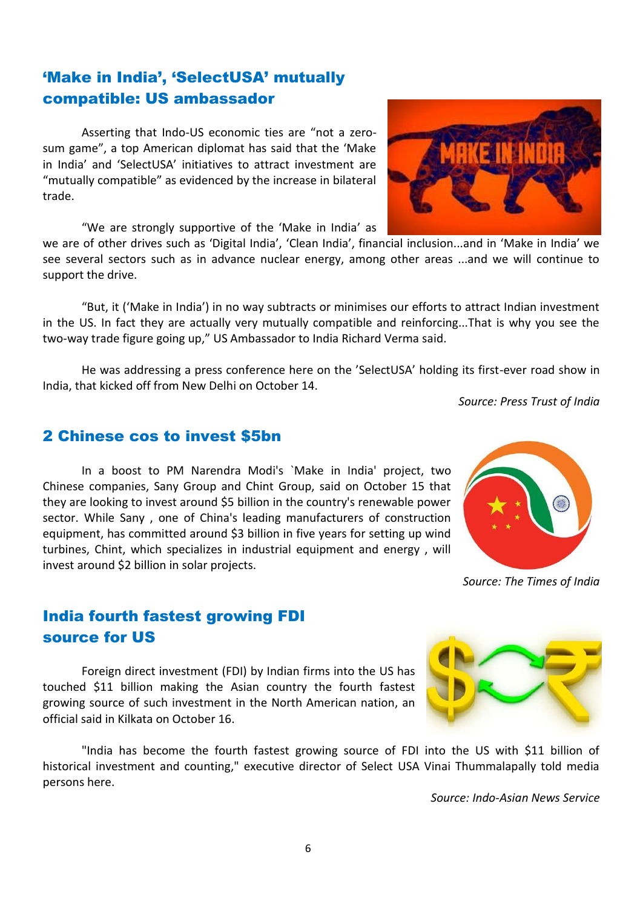# 'Make in India', 'SelectUSA' mutually compatible: US ambassador

Asserting that Indo-US economic ties are "not a zerosum game", a top American diplomat has said that the 'Make in India' and 'SelectUSA' initiatives to attract investment are "mutually compatible" as evidenced by the increase in bilateral trade.

"We are strongly supportive of the 'Make in India' as

we are of other drives such as 'Digital India', 'Clean India', financial inclusion...and in 'Make in India' we see several sectors such as in advance nuclear energy, among other areas ...and we will continue to support the drive.

"But, it ('Make in India') in no way subtracts or minimises our efforts to attract Indian investment in the US. In fact they are actually very mutually compatible and reinforcing...That is why you see the two-way trade figure going up," US Ambassador to India Richard Verma said.

He was addressing a press conference here on the 'SelectUSA' holding its first-ever road show in India, that kicked off from New Delhi on October 14.

*Source: Press Trust of India*

### 2 Chinese cos to invest \$5bn

In a boost to PM Narendra Modi's `Make in India' project, two Chinese companies, Sany Group and Chint Group, said on October 15 that they are looking to invest around \$5 billion in the country's renewable power sector. While Sany , one of China's leading manufacturers of construction equipment, has committed around \$3 billion in five years for setting up wind turbines, Chint, which specializes in industrial equipment and energy , will invest around \$2 billion in solar projects.

## India fourth fastest growing FDI source for US

Foreign direct investment (FDI) by Indian firms into the US has touched \$11 billion making the Asian country the fourth fastest growing source of such investment in the North American nation, an official said in Kilkata on October 16.

"India has become the fourth fastest growing source of FDI into the US with \$11 billion of historical investment and counting," executive director of Select USA Vinai Thummalapally told media persons here.

*Source: Indo-Asian News Service*



*Source: The Times of India*



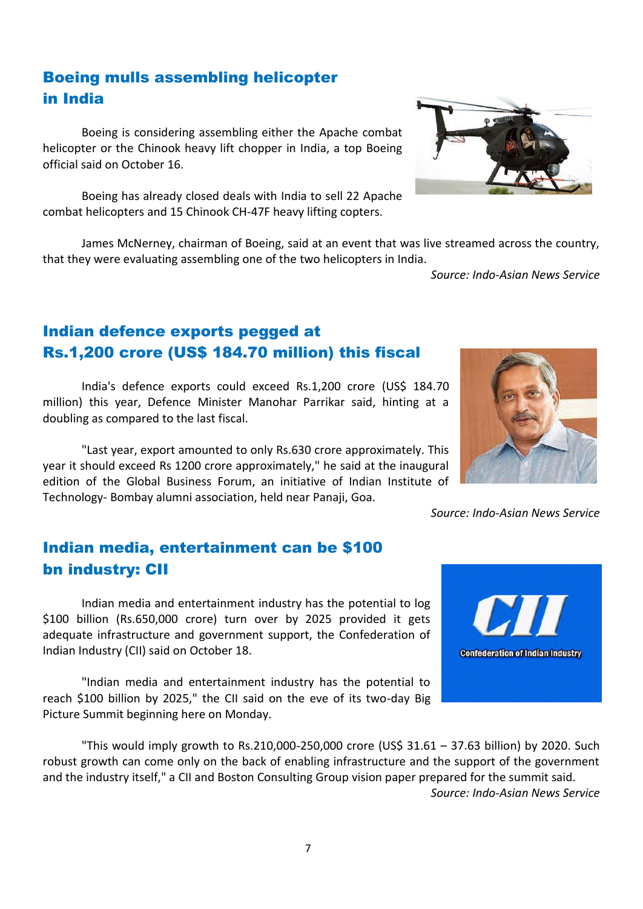# Boeing mulls assembling helicopter in India

Boeing is considering assembling either the Apache combat helicopter or the Chinook heavy lift chopper in India, a top Boeing official said on October 16.

Boeing has already closed deals with India to sell 22 Apache combat helicopters and 15 Chinook CH-47F heavy lifting copters.

James McNerney, chairman of Boeing, said at an event that was live streamed across the country, that they were evaluating assembling one of the two helicopters in India.

*Source: Indo-Asian News Service*

# Indian defence exports pegged at Rs.1,200 crore (US\$ 184.70 million) this fiscal

India's defence exports could exceed Rs.1,200 crore (US\$ 184.70 million) this year, Defence Minister Manohar Parrikar said, hinting at a doubling as compared to the last fiscal.

"Last year, export amounted to only Rs.630 crore approximately. This year it should exceed Rs 1200 crore approximately," he said at the inaugural edition of the Global Business Forum, an initiative of Indian Institute of Technology- Bombay alumni association, held near Panaji, Goa.

# Indian media, entertainment can be \$100 bn industry: CII

Indian media and entertainment industry has the potential to log \$100 billion (Rs.650,000 crore) turn over by 2025 provided it gets adequate infrastructure and government support, the Confederation of Indian Industry (CII) said on October 18.

"Indian media and entertainment industry has the potential to reach \$100 billion by 2025," the CII said on the eve of its two-day Big Picture Summit beginning here on Monday.

"This would imply growth to Rs.210,000-250,000 crore (US\$ 31.61 – 37.63 billion) by 2020. Such robust growth can come only on the back of enabling infrastructure and the support of the government and the industry itself," a CII and Boston Consulting Group vision paper prepared for the summit said. *Source: Indo-Asian News Service*

**Confederation of Indian Industry** 



*Source: Indo-Asian News Service*

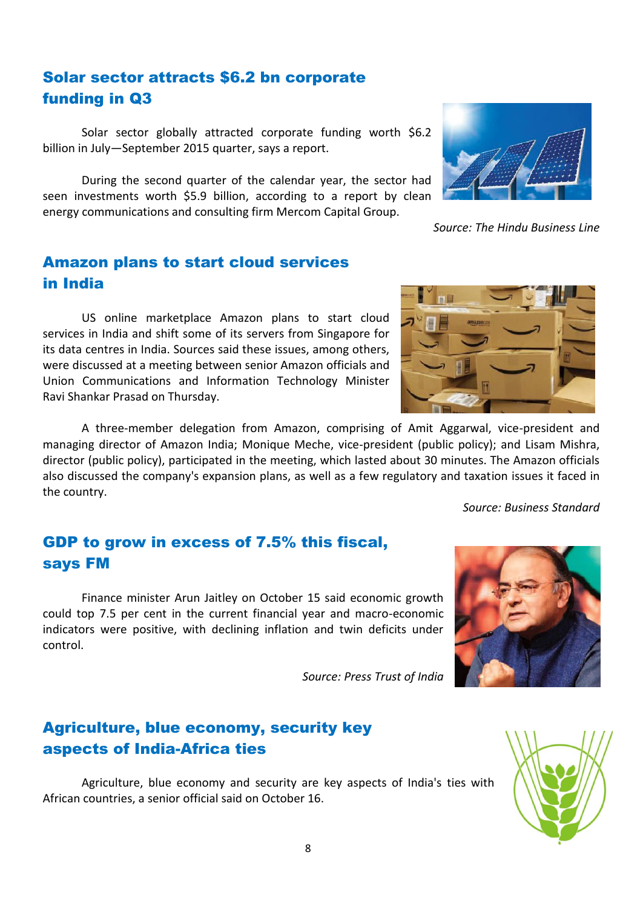## Solar sector attracts \$6.2 bn corporate funding in Q3

Solar sector globally attracted corporate funding worth \$6.2 billion in July—September 2015 quarter, says a report.

During the second quarter of the calendar year, the sector had seen investments worth \$5.9 billion, according to a report by clean energy communications and consulting firm Mercom Capital Group.

## Amazon plans to start cloud services in India

US online marketplace Amazon plans to start cloud services in India and shift some of its servers from Singapore for its data centres in India. Sources said these issues, among others, were discussed at a meeting between senior Amazon officials and Union Communications and Information Technology Minister Ravi Shankar Prasad on Thursday.

A three-member delegation from Amazon, comprising of Amit Aggarwal, vice-president and managing director of Amazon India; Monique Meche, vice-president (public policy); and Lisam Mishra, director (public policy), participated in the meeting, which lasted about 30 minutes. The Amazon officials also discussed the company's expansion plans, as well as a few regulatory and taxation issues it faced in the country.

GDP to grow in excess of 7.5% this fiscal, says FM

Finance minister Arun Jaitley on October 15 said economic growth could top 7.5 per cent in the current financial year and macro-economic indicators were positive, with declining inflation and twin deficits under control.

*Source: Press Trust of India*

## Agriculture, blue economy, security key aspects of India-Africa ties

Agriculture, blue economy and security are key aspects of India's ties with African countries, a senior official said on October 16.





*Source: The Hindu Business Line*



*Source: Business Standard*

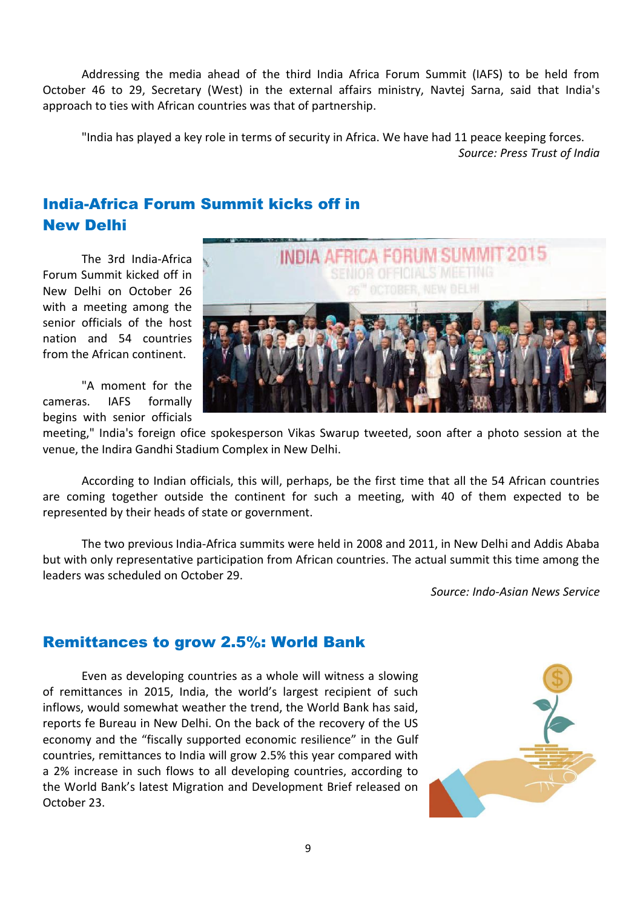Addressing the media ahead of the third India Africa Forum Summit (IAFS) to be held from October 46 to 29, Secretary (West) in the external affairs ministry, Navtej Sarna, said that India's approach to ties with African countries was that of partnership.

"India has played a key role in terms of security in Africa. We have had 11 peace keeping forces. *Source: Press Trust of India*

## India-Africa Forum Summit kicks off in New Delhi

The 3rd India-Africa Forum Summit kicked off in New Delhi on October 26 with a meeting among the senior officials of the host nation and 54 countries from the African continent.

"A moment for the cameras. IAFS formally begins with senior officials



meeting," India's foreign ofice spokesperson Vikas Swarup tweeted, soon after a photo session at the venue, the Indira Gandhi Stadium Complex in New Delhi.

According to Indian officials, this will, perhaps, be the first time that all the 54 African countries are coming together outside the continent for such a meeting, with 40 of them expected to be represented by their heads of state or government.

The two previous India-Africa summits were held in 2008 and 2011, in New Delhi and Addis Ababa but with only representative participation from African countries. The actual summit this time among the leaders was scheduled on October 29.

*Source: Indo-Asian News Service*

### Remittances to grow 2.5%: World Bank

Even as developing countries as a whole will witness a slowing of remittances in 2015, India, the world's largest recipient of such inflows, would somewhat weather the trend, the World Bank has said, reports fe Bureau in New Delhi. On the back of the recovery of the US economy and the "fiscally supported economic resilience" in the Gulf countries, remittances to India will grow 2.5% this year compared with a 2% increase in such flows to all developing countries, according to the World Bank's latest Migration and Development Brief released on October 23.

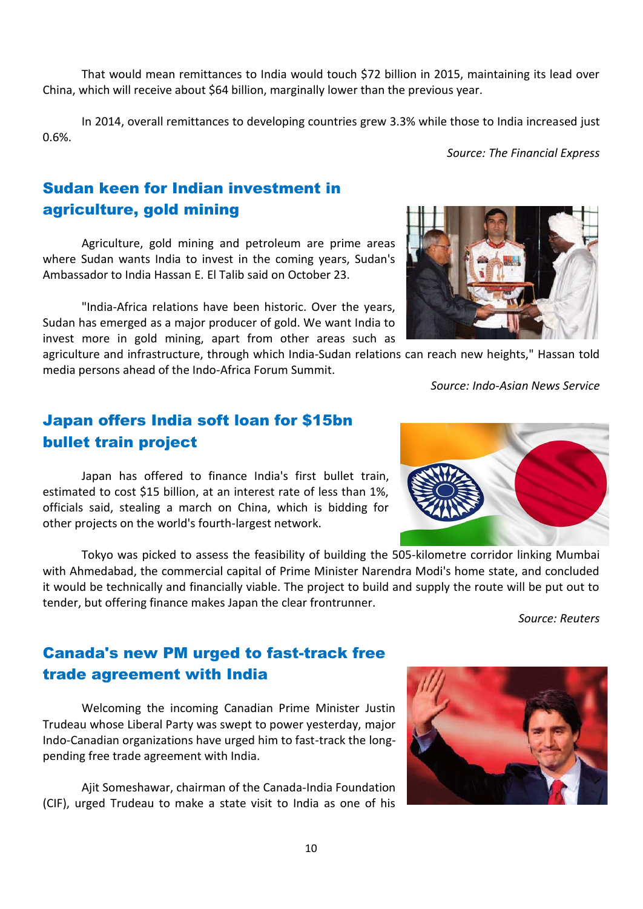That would mean remittances to India would touch \$72 billion in 2015, maintaining its lead over China, which will receive about \$64 billion, marginally lower than the previous year.

In 2014, overall remittances to developing countries grew 3.3% while those to India increased just 0.6%.

*Source: The Financial Express*

## Sudan keen for Indian investment in agriculture, gold mining

Agriculture, gold mining and petroleum are prime areas where Sudan wants India to invest in the coming years, Sudan's Ambassador to India Hassan E. El Talib said on October 23.

"India-Africa relations have been historic. Over the years, Sudan has emerged as a major producer of gold. We want India to invest more in gold mining, apart from other areas such as

agriculture and infrastructure, through which India-Sudan relations can reach new heights," Hassan told media persons ahead of the Indo-Africa Forum Summit.

*Source: Indo-Asian News Service*

## Japan offers India soft loan for \$15bn bullet train project

Japan has offered to finance India's first bullet train, estimated to cost \$15 billion, at an interest rate of less than 1%, officials said, stealing a march on China, which is bidding for other projects on the world's fourth-largest network.

Canada's new PM urged to fast-track free

trade agreement with India

pending free trade agreement with India.

Tokyo was picked to assess the feasibility of building the 505-kilometre corridor linking Mumbai with Ahmedabad, the commercial capital of Prime Minister Narendra Modi's home state, and concluded it would be technically and financially viable. The project to build and supply the route will be put out to tender, but offering finance makes Japan the clear frontrunner.

*Source: Reuters*





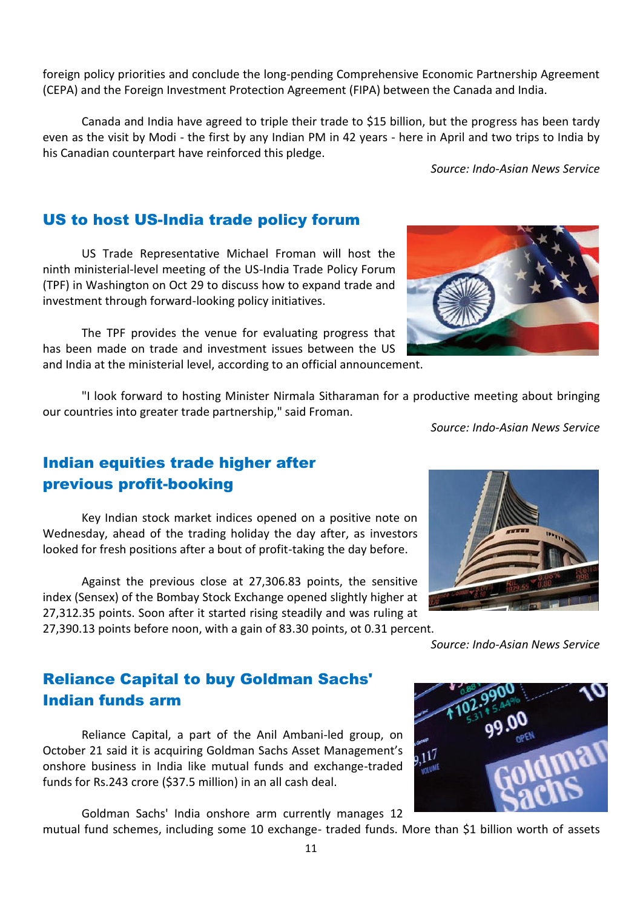mutual fund schemes, including some 10 exchange- traded funds. More than \$1 billion worth of assets

foreign policy priorities and conclude the long-pending Comprehensive Economic Partnership Agreement (CEPA) and the Foreign Investment Protection Agreement (FIPA) between the Canada and India.

Canada and India have agreed to triple their trade to \$15 billion, but the progress has been tardy even as the visit by Modi - the first by any Indian PM in 42 years - here in April and two trips to India by his Canadian counterpart have reinforced this pledge.

*Source: Indo-Asian News Service*

## US to host US-India trade policy forum

US Trade Representative Michael Froman will host the ninth ministerial-level meeting of the US-India Trade Policy Forum (TPF) in Washington on Oct 29 to discuss how to expand trade and investment through forward-looking policy initiatives.

The TPF provides the venue for evaluating progress that has been made on trade and investment issues between the US and India at the ministerial level, according to an official announcement.

"I look forward to hosting Minister Nirmala Sitharaman for a productive meeting about bringing our countries into greater trade partnership," said Froman.

*Source: Indo-Asian News Service*

## Indian equities trade higher after previous profit-booking

Key Indian stock market indices opened on a positive note on Wednesday, ahead of the trading holiday the day after, as investors looked for fresh positions after a bout of profit-taking the day before.

Against the previous close at 27,306.83 points, the sensitive index (Sensex) of the Bombay Stock Exchange opened slightly higher at 27,312.35 points. Soon after it started rising steadily and was ruling at 27,390.13 points before noon, with a gain of 83.30 points, ot 0.31 percent.

## Reliance Capital to buy Goldman Sachs' Indian funds arm

Reliance Capital, a part of the Anil Ambani-led group, on October 21 said it is acquiring Goldman Sachs Asset Management's onshore business in India like mutual funds and exchange-traded funds for Rs.243 crore (\$37.5 million) in an all cash deal.

Goldman Sachs' India onshore arm currently manages 12